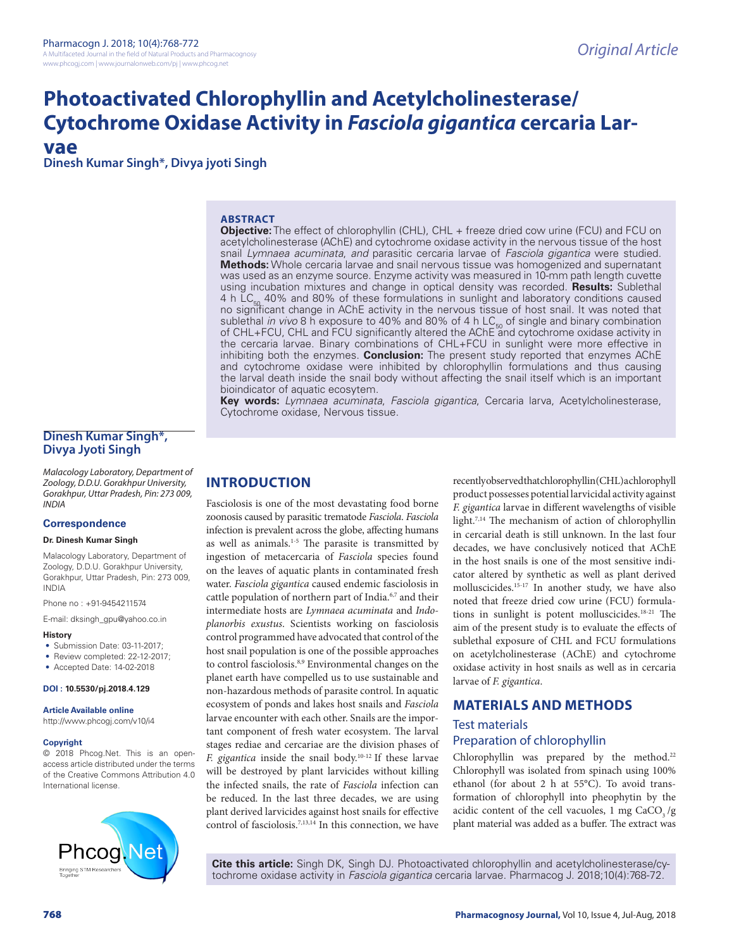# **Photoactivated Chlorophyllin and Acetylcholinesterase/ Cytochrome Oxidase Activity in** *Fasciola gigantica* **cercaria Lar-**

**vae Dinesh Kumar Singh\*, Divya jyoti Singh**

#### **ABSTRACT**

**Objective:** The effect of chlorophyllin (CHL), CHL + freeze dried cow urine (FCU) and FCU on acetylcholinesterase (AChE) and cytochrome oxidase activity in the nervous tissue of the host snail *Lymnaea acuminata*, *and* parasitic cercaria larvae of *Fasciola gigantica* were studied. **Methods:** Whole cercaria larvae and snail nervous tissue was homogenized and supernatant was used as an enzyme source. Enzyme activity was measured in 10-mm path length cuvette using incubation mixtures and change in optical density was recorded. **Results:** Sublethal 4 h  $LC_{50}$  40% and 80% of these formulations in sunlight and laboratory conditions caused no significant change in AChE activity in the nervous tissue of host snail. It was noted that sublethal *in vivo* 8 h exposure to 40% and 80% of 4 h LC<sub>50</sub> of single and binary combination<br>of CHL+FCU, CHL and FCU significantly altered the AChE and cytochrome oxidase activity in the cercaria larvae. Binary combinations of CHL+FCU in sunlight were more effective in inhibiting both the enzymes. **Conclusion:** The present study reported that enzymes AChE and cytochrome oxidase were inhibited by chlorophyllin formulations and thus causing the larval death inside the snail body without affecting the snail itself which is an important bioindicator of aquatic ecosytem.

**Key words:** *Lymnaea acuminata*, *Fasciola gigantica*, Cercaria larva, Acetylcholinesterase, Cytochrome oxidase, Nervous tissue.

### **Dinesh Kumar Singh\*, Divya Jyoti Singh**

*Malacology Laboratory, Department of Zoology, D.D.U. Gorakhpur University, Gorakhpur, Uttar Pradesh, Pin: 273 009, INDIA*

### **Correspondence**

#### **Dr. Dinesh Kumar Singh**

Malacology Laboratory, Department of Zoology, D.D.U. Gorakhpur University, Gorakhpur, Uttar Pradesh, Pin: 273 009, INDIA

Phone no : +91-9454211574

E-mail: dksingh\_gpu@yahoo.co.in

#### **History**

- Submission Date: 03-11-2017;
- Review completed: 22-12-2017:
- Accepted Date: 14-02-2018

#### **DOI : 10.5530/pj.2018.4.129**

**Article Available online** 

http://www.phcogj.com/v10/i4

#### **Copyright**

© 2018 Phcog.Net. This is an openaccess article distributed under the terms of the Creative Commons Attribution 4.0 International license.



## **INTRODUCTION**

Fasciolosis is one of the most devastating food borne zoonosis caused by parasitic trematode *Fasciola*. *Fasciola*  infection is prevalent across the globe, affecting humans as well as animals. $1-5$  The parasite is transmitted by ingestion of metacercaria of *Fasciola* species found on the leaves of aquatic plants in contaminated fresh water. *Fasciola gigantica* caused endemic fasciolosis in cattle population of northern part of India.<sup>6,7</sup> and their intermediate hosts are *Lymnaea acuminata* and *Indoplanorbis exustus*. Scientists working on fasciolosis control programmed have advocated that control of the host snail population is one of the possible approaches to control fasciolosis.<sup>8,9</sup> Environmental changes on the planet earth have compelled us to use sustainable and non-hazardous methods of parasite control. In aquatic ecosystem of ponds and lakes host snails and *Fasciola* larvae encounter with each other. Snails are the important component of fresh water ecosystem. The larval stages rediae and cercariae are the division phases of *F. gigantica* inside the snail body.10-12 If these larvae will be destroyed by plant larvicides without killing the infected snails, the rate of *Fasciola* infection can be reduced. In the last three decades, we are using plant derived larvicides against host snails for effective control of fasciolosis.7,13,14 In this connection, we have

recently observed that chlorophyllin (CHL) a chlorophyll product possesses potential larvicidal activity against *F. gigantica* larvae in different wavelengths of visible light.7,14 The mechanism of action of chlorophyllin in cercarial death is still unknown. In the last four decades, we have conclusively noticed that AChE in the host snails is one of the most sensitive indicator altered by synthetic as well as plant derived molluscicides.15-17 In another study, we have also noted that freeze dried cow urine (FCU) formulations in sunlight is potent molluscicides.18-21 The aim of the present study is to evaluate the effects of sublethal exposure of CHL and FCU formulations on acetylcholinesterase (AChE) and cytochrome oxidase activity in host snails as well as in cercaria larvae of *F. gigantica*.

### **MATERIALS AND METHODS**

### Test materials Preparation of chlorophyllin

Chlorophyllin was prepared by the method.<sup>22</sup> Chlorophyll was isolated from spinach using 100% ethanol (for about 2 h at 55°C). To avoid transformation of chlorophyll into pheophytin by the acidic content of the cell vacuoles, 1 mg CaCO<sub>3</sub>/g plant material was added as a buffer. The extract was

**Cite this article:** Singh DK, Singh DJ. Photoactivated chlorophyllin and acetylcholinesterase/cytochrome oxidase activity in *Fasciola gigantica* cercaria larvae. Pharmacog J. 2018;10(4):768-72.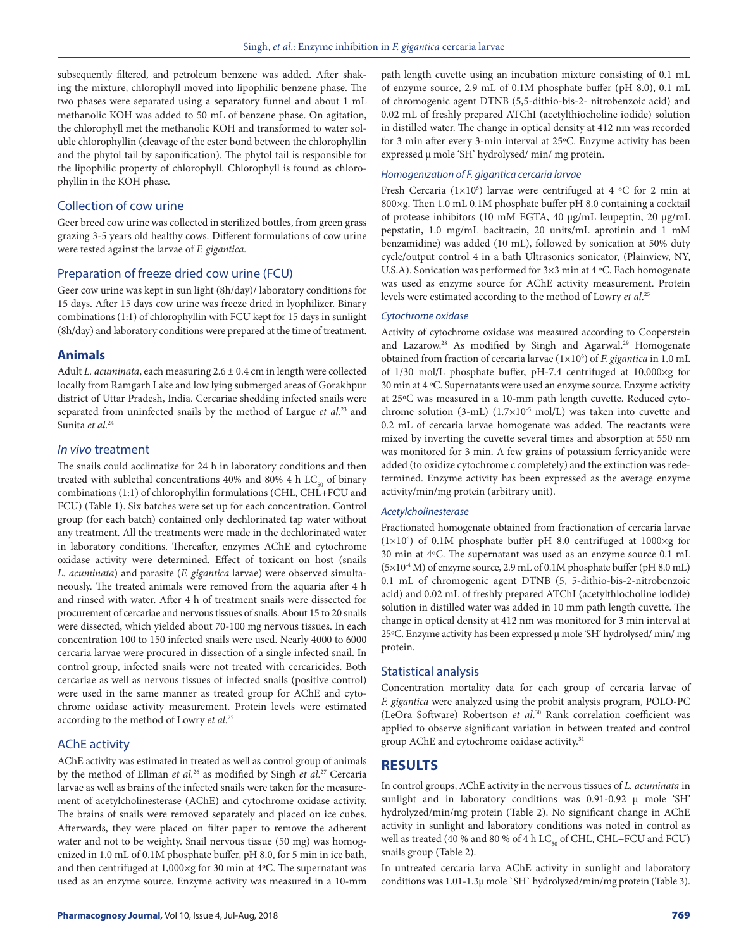subsequently filtered, and petroleum benzene was added. After shaking the mixture, chlorophyll moved into lipophilic benzene phase. The two phases were separated using a separatory funnel and about 1 mL methanolic KOH was added to 50 mL of benzene phase. On agitation, the chlorophyll met the methanolic KOH and transformed to water soluble chlorophyllin (cleavage of the ester bond between the chlorophyllin and the phytol tail by saponification). The phytol tail is responsible for the lipophilic property of chlorophyll. Chlorophyll is found as chlorophyllin in the KOH phase.

### Collection of cow urine

Geer breed cow urine was collected in sterilized bottles, from green grass grazing 3-5 years old healthy cows. Different formulations of cow urine were tested against the larvae of *F. gigantica.*

### Preparation of freeze dried cow urine (FCU)

Geer cow urine was kept in sun light (8h/day)/ laboratory conditions for 15 days. After 15 days cow urine was freeze dried in lyophilizer. Binary combinations (1:1) of chlorophyllin with FCU kept for 15 days in sunlight (8h/day) and laboratory conditions were prepared at the time of treatment.

### **Animals**

Adult *L. acuminata*, each measuring 2.6 ± 0.4 cm in length were collected locally from Ramgarh Lake and low lying submerged areas of Gorakhpur district of Uttar Pradesh, India. Cercariae shedding infected snails were separated from uninfected snails by the method of Largue *et al.*23 and Sunita *et al*. 24

### *In vivo* treatment

The snails could acclimatize for 24 h in laboratory conditions and then treated with sublethal concentrations 40% and 80% 4 h  $LC_{50}$  of binary combinations (1:1) of chlorophyllin formulations (CHL, CHL+FCU and FCU) (Table 1). Six batches were set up for each concentration. Control group (for each batch) contained only dechlorinated tap water without any treatment. All the treatments were made in the dechlorinated water in laboratory conditions. Thereafter, enzymes AChE and cytochrome oxidase activity were determined. Effect of toxicant on host (snails *L. acuminata*) and parasite (*F. gigantica* larvae) were observed simultaneously. The treated animals were removed from the aquaria after 4 h and rinsed with water. After 4 h of treatment snails were dissected for procurement of cercariae and nervous tissues of snails. About 15 to 20 snails were dissected, which yielded about 70-100 mg nervous tissues. In each concentration 100 to 150 infected snails were used. Nearly 4000 to 6000 cercaria larvae were procured in dissection of a single infected snail. In control group, infected snails were not treated with cercaricides. Both cercariae as well as nervous tissues of infected snails (positive control) were used in the same manner as treated group for AChE and cytochrome oxidase activity measurement. Protein levels were estimated according to the method of Lowry *et al*. 25

### AChE activity

AChE activity was estimated in treated as well as control group of animals by the method of Ellman *et al.*26 as modified by Singh *et al*. 27 Cercaria larvae as well as brains of the infected snails were taken for the measurement of acetylcholinesterase (AChE) and cytochrome oxidase activity. The brains of snails were removed separately and placed on ice cubes. Afterwards, they were placed on filter paper to remove the adherent water and not to be weighty. Snail nervous tissue (50 mg) was homogenized in 1.0 mL of 0.1M phosphate buffer, pH 8.0, for 5 min in ice bath, and then centrifuged at 1,000×g for 30 min at 4ºC. The supernatant was used as an enzyme source. Enzyme activity was measured in a 10-mm

#### *Homogenization of F. gigantica cercaria larvae*

Fresh Cercaria (1×10<sup>6</sup>) larvae were centrifuged at 4 °C for 2 min at 800×g. Then 1.0 mL 0.1M phosphate buffer pH 8.0 containing a cocktail of protease inhibitors (10 mM EGTA, 40 μg/mL leupeptin, 20 μg/mL pepstatin, 1.0 mg/mL bacitracin, 20 units/mL aprotinin and 1 mM benzamidine) was added (10 mL), followed by sonication at 50% duty cycle/output control 4 in a bath Ultrasonics sonicator, (Plainview, NY, U.S.A). Sonication was performed for 3×3 min at 4 ºC. Each homogenate was used as enzyme source for AChE activity measurement. Protein levels were estimated according to the method of Lowry *et al*. 25

### *Cytochrome oxidase*

Activity of cytochrome oxidase was measured according to Cooperstein and Lazarow.<sup>28</sup> As modified by Singh and Agarwal.<sup>29</sup> Homogenate obtained from fraction of cercaria larvae (1×106 ) of *F. gigantica* in 1.0 mL of 1/30 mol/L phosphate buffer, pH-7.4 centrifuged at 10,000×g for 30 min at 4 ºC. Supernatants were used an enzyme source. Enzyme activity at 25ºC was measured in a 10-mm path length cuvette. Reduced cytochrome solution (3-mL) ( $1.7\times10^{-5}$  mol/L) was taken into cuvette and 0.2 mL of cercaria larvae homogenate was added. The reactants were mixed by inverting the cuvette several times and absorption at 550 nm was monitored for 3 min. A few grains of potassium ferricyanide were added (to oxidize cytochrome c completely) and the extinction was redetermined. Enzyme activity has been expressed as the average enzyme activity/min/mg protein (arbitrary unit).

### *Acetylcholinesterase*

Fractionated homogenate obtained from fractionation of cercaria larvae  $(1\times10^6)$  of 0.1M phosphate buffer pH 8.0 centrifuged at 1000 $\times$ g for 30 min at 4ºC. The supernatant was used as an enzyme source 0.1 mL (5×10<sup>-4</sup> M) of enzyme source, 2.9 mL of 0.1M phosphate buffer (pH 8.0 mL) 0.1 mL of chromogenic agent DTNB (5, 5-dithio-bis-2-nitrobenzoic acid) and 0.02 mL of freshly prepared ATChI (acetylthiocholine iodide) solution in distilled water was added in 10 mm path length cuvette. The change in optical density at 412 nm was monitored for 3 min interval at 25ºC. Enzyme activity has been expressed μ mole 'SH' hydrolysed/ min/ mg protein.

### Statistical analysis

Concentration mortality data for each group of cercaria larvae of *F. gigantica* were analyzed using the probit analysis program, POLO-PC (LeOra Software) Robertson *et al*. 30 Rank correlation coefficient was applied to observe significant variation in between treated and control group AChE and cytochrome oxidase activity.<sup>31</sup>

### **RESULTS**

In control groups, AChE activity in the nervous tissues of *L. acuminata* in sunlight and in laboratory conditions was 0.91-0.92 μ mole 'SH' hydrolyzed/min/mg protein (Table 2). No significant change in AChE activity in sunlight and laboratory conditions was noted in control as well as treated (40 % and 80 % of 4 h  $LC_{50}$  of CHL, CHL+FCU and FCU) snails group (Table 2).

In untreated cercaria larva AChE activity in sunlight and laboratory conditions was 1.01-1.3μ mole `SH` hydrolyzed/min/mg protein (Table 3).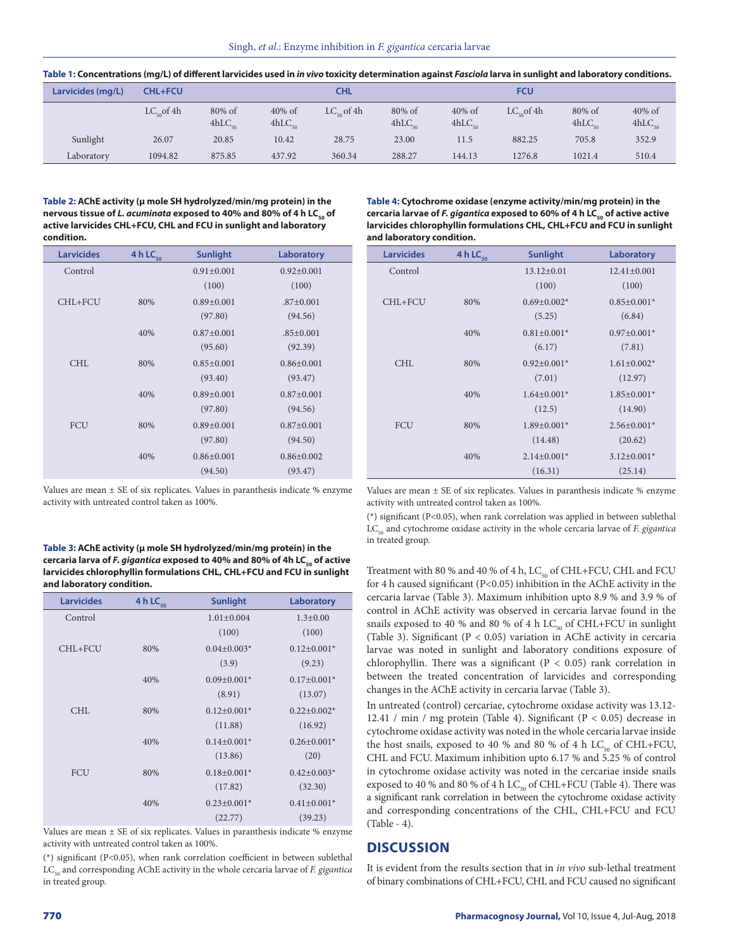| Table 1: Concentrations (mg/L) of different larvicides used in in vivo toxicity determination against Fasciola larva in sunlight and laboratory conditions. |  |
|-------------------------------------------------------------------------------------------------------------------------------------------------------------|--|
|                                                                                                                                                             |  |

| Larvicides (mg/L) | <b>CHL+FCU</b>          |                       | CHL                      |                         | <b>FCU</b>            |                          |                 |                       |                          |
|-------------------|-------------------------|-----------------------|--------------------------|-------------------------|-----------------------|--------------------------|-----------------|-----------------------|--------------------------|
|                   | $LC_{\epsilon 0}$ of 4h | 80% of<br>$4hLC_{50}$ | $40\%$ of<br>$4hLC_{50}$ | $LC_{\epsilon_0}$ of 4h | 80% of<br>$4hLC_{50}$ | $40\%$ of<br>$4hLC_{50}$ | $LC_{50}$ of 4h | 80% of<br>$4hLC_{50}$ | $40\%$ of<br>$4hLC_{50}$ |
| Sunlight          | 26.07                   | 20.85                 | 10.42                    | 28.75                   | 23.00                 | 11.5                     | 882.25          | 705.8                 | 352.9                    |
| Laboratory        | 1094.82                 | 875.85                | 437.92                   | 360.34                  | 288.27                | 144.13                   | 1276.8          | 1021.4                | 510.4                    |

**Table 2: AChE activity (µ mole SH hydrolyzed/min/mg protein) in the nervous tissue of L. acuminata exposed to 40% and 80% of 4 h LC<sub>50</sub> of active larvicides CHL+FCU, CHL and FCU in sunlight and laboratory condition.**

| <b>Larvicides</b> | 4 h LC <sub>50</sub> | <b>Sunlight</b>  | Laboratory       |
|-------------------|----------------------|------------------|------------------|
| Control           |                      | $0.91 \pm 0.001$ | $0.92 \pm 0.001$ |
|                   |                      | (100)            | (100)            |
| CHL+FCU           | 80%                  | $0.89 \pm 0.001$ | $.87 \pm 0.001$  |
|                   |                      | (97.80)          | (94.56)          |
|                   | 40%                  | $0.87+0.001$     | $.85 \pm 0.001$  |
|                   |                      | (95.60)          | (92.39)          |
| CHL               | 80%                  | $0.85 + 0.001$   | $0.86 \pm 0.001$ |
|                   |                      | (93.40)          | (93.47)          |
|                   | 40%                  | $0.89 + 0.001$   | $0.87 \pm 0.001$ |
|                   |                      | (97.80)          | (94.56)          |
| FCU               | 80%                  | $0.89 + 0.001$   | $0.87 \pm 0.001$ |
|                   |                      | (97.80)          | (94.50)          |
|                   | 40%                  | $0.86 \pm 0.001$ | $0.86 \pm 0.002$ |
|                   |                      | (94.50)          | (93.47)          |

Values are mean  $\pm$  SE of six replicates. Values in paranthesis indicate % enzyme activity with untreated control taken as 100%.

**Table 3: AChE activity (µ mole SH hydrolyzed/min/mg protein) in the**  cercaria larva of *F. gigantica* exposed to 40% and 80% of 4h LC<sub>50</sub> of active **larvicides chlorophyllin formulations CHL, CHL+FCU and FCU in sunlight and laboratory condition.**

| 4 h LC <sub>50</sub> | <b>Sunlight</b>   | Laboratory        |
|----------------------|-------------------|-------------------|
|                      | $1.01 \pm 0.004$  | $1.3 \pm 0.00$    |
|                      | (100)             | (100)             |
| 80%                  | $0.04 \pm 0.003*$ | $0.12 \pm 0.001*$ |
|                      | (3.9)             | (9.23)            |
| 40%                  | $0.09 \pm 0.001*$ | $0.17 \pm 0.001*$ |
|                      | (8.91)            | (13.07)           |
| 80%                  | $0.12 \pm 0.001*$ | $0.22 \pm 0.002*$ |
|                      | (11.88)           | (16.92)           |
| 40%                  | $0.14 \pm 0.001*$ | $0.26 \pm 0.001*$ |
|                      | (13.86)           | (20)              |
| 80%                  | $0.18 \pm 0.001*$ | $0.42 \pm 0.003*$ |
|                      | (17.82)           | (32.30)           |
| 40%                  | $0.23 \pm 0.001*$ | $0.41 \pm 0.001*$ |
|                      | (22.77)           | (39.23)           |
|                      |                   |                   |

Values are mean  $\pm$  SE of six replicates. Values in paranthesis indicate % enzyme activity with untreated control taken as 100%.

(\*) significant (P<0.05), when rank correlation coefficient in between sublethal LC<sub>50</sub> and corresponding AChE activity in the whole cercaria larvae of *F. gigantica* in treated group.

**Table 4: Cytochrome oxidase (enzyme activity/min/mg protein) in the**  cercaria larvae of *F. gigantica* exposed to 60% of 4 h LC<sub>50</sub> of active active **larvicides chlorophyllin formulations CHL, CHL+FCU and FCU in sunlight and laboratory condition.**

| <b>Larvicides</b> | 4 h LC <sub>50</sub> | <b>Sunlight</b>   | Laboratory        |
|-------------------|----------------------|-------------------|-------------------|
| Control           |                      | $13.12+0.01$      | $12.41 + 0.001$   |
|                   |                      | (100)             | (100)             |
| CHL+FCU           | 80%                  | $0.69 + 0.002*$   | $0.85+0.001*$     |
|                   |                      | (5.25)            | (6.84)            |
|                   | 40%                  | $0.81 \pm 0.001*$ | $0.97 \pm 0.001*$ |
|                   |                      | (6.17)            | (7.81)            |
| CHL               | 80%                  | $0.92 + 0.001*$   | $1.61 \pm 0.002*$ |
|                   |                      | (7.01)            | (12.97)           |
|                   | 40%                  | $1.64 + 0.001*$   | $1.85 \pm 0.001*$ |
|                   |                      | (12.5)            | (14.90)           |
| FCU               | 80%                  | $1.89 \pm 0.001*$ | $2.56 \pm 0.001*$ |
|                   |                      | (14.48)           | (20.62)           |
|                   | 40%                  | $2.14 \pm 0.001*$ | $3.12 \pm 0.001*$ |
|                   |                      | (16.31)           | (25.14)           |

Values are mean  $\pm$  SE of six replicates. Values in paranthesis indicate % enzyme activity with untreated control taken as 100%.

(\*) significant (P<0.05), when rank correlation was applied in between sublethal LC<sub>50</sub> and cytochrome oxidase activity in the whole cercaria larvae of *F. gigantica* in treated group.

Treatment with 80 % and 40 % of 4 h,  $LC_{50}$  of CHL+FCU, CHL and FCU for 4 h caused significant (P<0.05) inhibition in the AChE activity in the cercaria larvae (Table 3). Maximum inhibition upto 8.9 % and 3.9 % of control in AChE activity was observed in cercaria larvae found in the snails exposed to 40 % and 80 % of 4 h  $LC_{50}$  of CHL+FCU in sunlight (Table 3). Significant ( $P < 0.05$ ) variation in AChE activity in cercaria larvae was noted in sunlight and laboratory conditions exposure of chlorophyllin. There was a significant ( $P < 0.05$ ) rank correlation in between the treated concentration of larvicides and corresponding changes in the AChE activity in cercaria larvae (Table 3).

In untreated (control) cercariae, cytochrome oxidase activity was 13.12- 12.41 / min / mg protein (Table 4). Significant (P < 0.05) decrease in cytochrome oxidase activity was noted in the whole cercaria larvae inside the host snails, exposed to 40 % and 80 % of 4 h  $LC_{50}$  of CHL+FCU, CHL and FCU. Maximum inhibition upto 6.17 % and 5.25 % of control in cytochrome oxidase activity was noted in the cercariae inside snails exposed to 40 % and 80 % of 4 h  $LC_{50}$  of CHL+FCU (Table 4). There was a significant rank correlation in between the cytochrome oxidase activity and corresponding concentrations of the CHL, CHL+FCU and FCU (Table - 4).

### **DISCUSSION**

It is evident from the results section that in *in vivo* sub-lethal treatment of binary combinations of CHL+FCU, CHL and FCU caused no significant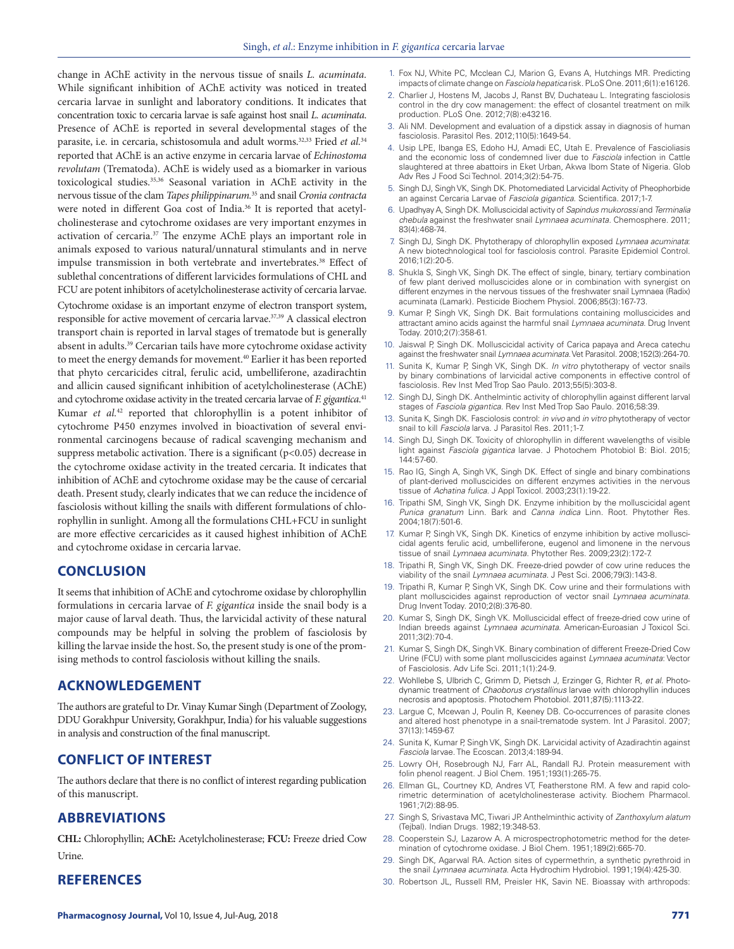change in AChE activity in the nervous tissue of snails *L. acuminata.*  While significant inhibition of AChE activity was noticed in treated cercaria larvae in sunlight and laboratory conditions. It indicates that concentration toxic to cercaria larvae is safe against host snail *L. acuminata*. Presence of AChE is reported in several developmental stages of the parasite, i.e. in cercaria, schistosomula and adult worms.32,33 Fried *et al.*<sup>34</sup> reported that AChE is an active enzyme in cercaria larvae of *Echinostoma revolutam* (Trematoda). AChE is widely used as a biomarker in various toxicological studies.35,36 Seasonal variation in AChE activity in the nervous tissue of the clam *Tapes philippinarum.*35 and snail *Cronia contracta*  were noted in different Goa cost of India.<sup>36</sup> It is reported that acetylcholinesterase and cytochrome oxidases are very important enzymes in activation of cercaria.37 The enzyme AChE plays an important role in animals exposed to various natural/unnatural stimulants and in nerve impulse transmission in both vertebrate and invertebrates.<sup>38</sup> Effect of sublethal concentrations of different larvicides formulations of CHL and FCU are potent inhibitors of acetylcholinesterase activity of cercaria larvae.

Cytochrome oxidase is an important enzyme of electron transport system, responsible for active movement of cercaria larvae.37,39 A classical electron transport chain is reported in larval stages of trematode but is generally absent in adults.<sup>39</sup> Cercarian tails have more cytochrome oxidase activity to meet the energy demands for movement.<sup>40</sup> Earlier it has been reported that phyto cercaricides citral, ferulic acid, umbelliferone, azadirachtin and allicin caused significant inhibition of acetylcholinesterase (AChE) and cytochrome oxidase activity in the treated cercaria larvae of *F. gigantica*. 41 Kumar *et al.*42 reported that chlorophyllin is a potent inhibitor of cytochrome P450 enzymes involved in bioactivation of several environmental carcinogens because of radical scavenging mechanism and suppress metabolic activation. There is a significant (p<0.05) decrease in the cytochrome oxidase activity in the treated cercaria. It indicates that inhibition of AChE and cytochrome oxidase may be the cause of cercarial death. Present study, clearly indicates that we can reduce the incidence of fasciolosis without killing the snails with different formulations of chlorophyllin in sunlight. Among all the formulations CHL+FCU in sunlight are more effective cercaricides as it caused highest inhibition of AChE and cytochrome oxidase in cercaria larvae.

### **CONCLUSION**

It seems that inhibition of AChE and cytochrome oxidase by chlorophyllin formulations in cercaria larvae of *F. gigantica* inside the snail body is a major cause of larval death. Thus, the larvicidal activity of these natural compounds may be helpful in solving the problem of fasciolosis by killing the larvae inside the host. So, the present study is one of the promising methods to control fasciolosis without killing the snails.

### **ACKNOWLEDGEMENT**

The authors are grateful to Dr. Vinay Kumar Singh (Department of Zoology, DDU Gorakhpur University, Gorakhpur, India) for his valuable suggestions in analysis and construction of the final manuscript.

### **CONFLICT OF INTEREST**

The authors declare that there is no conflict of interest regarding publication of this manuscript.

### **ABBREVIATIONS**

**CHL:** Chlorophyllin; **AChE:** Acetylcholinesterase; **FCU:** Freeze dried Cow Urine.

### **REFERENCES**

- 1. Fox NJ, White PC, Mcclean CJ, Marion G, Evans A, Hutchings MR. Predicting impacts of climate change on *Fasciola hepatica* risk. PLoS One. 2011;6(1):e16126.
- 2. Charlier J, Hostens M, Jacobs J, Ranst BV, Duchateau L. Integrating fasciolosis control in the dry cow management: the effect of closantel treatment on milk production. PLoS One. 2012;7(8):e43216.
- 3. Ali NM. Development and evaluation of a dipstick assay in diagnosis of human fasciolosis. Parasitol Res. 2012;110(5):1649-54.
- 4. Usip LPE, Ibanga ES, Edoho HJ, Amadi EC, Utah E. Prevalence of Fascioliasis and the economic loss of condemned liver due to *Fasciola* infection in Cattle slaughtered at three abattoirs in Eket Urban, Akwa Ibom State of Nigeria. Glob Adv Res J Food Sci Technol. 2014;3(2):54-75.
- 5. Singh DJ, Singh VK, Singh DK. Photomediated Larvicidal Activity of Pheophorbide an against Cercaria Larvae of *Fasciola gigantica*. Scientifica. 2017;1-7.
- 6. Upadhyay A, Singh DK. Molluscicidal activity of *Sapindus mukorossi* and *Terminalia chebula* against the freshwater snail *Lymnaea acuminata.* Chemosphere. 2011; 83(4):468-74.
- 7. Singh DJ, Singh DK. Phytotherapy of chlorophyllin exposed *Lymnaea acuminata*: A new biotechnological tool for fasciolosis control. Parasite Epidemiol Control. 2016;1(2):20-5.
- 8. Shukla S, Singh VK, Singh DK. The effect of single, binary, tertiary combination of few plant derived molluscicides alone or in combination with synergist on different enzymes in the nervous tissues of the freshwater snail Lymnaea (Radix) acuminata (Lamark). Pesticide Biochem Physiol. 2006;85(3):167-73.
- 9. Kumar P, Singh VK, Singh DK. Bait formulations containing molluscicides and attractant amino acids against the harmful snail *Lymnaea acuminata*. Drug Invent Today. 2010;2(7):358-61.
- 10. Jaiswal P, Singh DK. Molluscicidal activity of Carica papaya and Areca catechu against the freshwater snail *Lymnaea acuminata*. Vet Parasitol. 2008;152(3):264-70.
- 11. Sunita K, Kumar P, Singh VK, Singh DK. *In vitro* phytotherapy of vector snails by binary combinations of larvicidal active components in effective control of fasciolosis. Rev Inst Med Trop Sao Paulo. 2013;55(5):303-8.
- 12. Singh DJ, Singh DK. Anthelmintic activity of chlorophyllin against different larval stages of *Fasciola gigantica*. Rev Inst Med Trop Sao Paulo. 2016;58:39.
- 13. Sunita K, Singh DK. Fasciolosis control: *in vivo* and *in vitro* phytotherapy of vector snail to kill *Fasciola* larva. J Parasitol Res. 2011;1-7.
- 14. Singh DJ, Singh DK. Toxicity of chlorophyllin in different wavelengths of visible light against *Fasciola gigantica* larvae. J Photochem Photobiol B: Biol. 2015; 144:57-60.
- 15. Rao IG, Singh A, Singh VK, Singh DK. Effect of single and binary combinations of plant-derived molluscicides on different enzymes activities in the nervous tissue of *Achatina fulica*. J Appl Toxicol*.* 2003;23(1):19-22.
- 16. Tripathi SM, Singh VK, Singh DK. Enzyme inhibition by the molluscicidal agent *Punica granatum* Linn. Bark and *Canna indica* Linn. Root. Phytother Res. 2004;18(7):501-6.
- 17. Kumar P, Singh VK, Singh DK. Kinetics of enzyme inhibition by active molluscicidal agents ferulic acid, umbelliferone, eugenol and limonene in the nervous tissue of snail *Lymnaea acuminata.* Phytother Res. 2009;23(2):172-7.
- 18. Tripathi R, Singh VK, Singh DK. Freeze-dried powder of cow urine reduces the viability of the snail *Lymnaea acuminata.* J Pest Sci*.* 2006;79(3):143-8.
- 19. Tripathi R, Kumar P, Singh VK, Singh DK. Cow urine and their formulations with plant molluscicides against reproduction of vector snail *Lymnaea acuminata*. Drug Invent Today. 2010;2(8):376-80.
- 20. Kumar S, Singh DK, Singh VK. Molluscicidal effect of freeze-dried cow urine of Indian breeds against *Lymnaea acuminata*. American-Euroasian J Toxicol Sci. 2011;3(2):70-4.
- 21. Kumar S, Singh DK, Singh VK. Binary combination of different Freeze-Dried Cow Urine (FCU) with some plant molluscicides against *Lymnaea acuminata*: Vector of Fasciolosis. Adv Life Sci. 2011;1(1):24-9.
- 22. Wohllebe S, Ulbrich C, Grimm D, Pietsch J, Erzinger G, Richter R, *et al*. Photodynamic treatment of *Chaoborus crystallinus* larvae with chlorophyllin induces necrosis and apoptosis. Photochem Photobiol. 2011;87(5):1113-22.
- 23. Largue C, Mcewan J, Poulin R, Keeney DB. Co-occurrences of parasite clones and altered host phenotype in a snail-trematode system. Int J Parasitol. 2007; 37(13):1459-67.
- 24. Sunita K, Kumar P, Singh VK, Singh DK. Larvicidal activity of Azadirachtin against *Fasciola* larvae. The Ecoscan. 2013;4:189-94.
- 25. Lowry OH, Rosebrough NJ, Farr AL, Randall RJ. Protein measurement with folin phenol reagent. J Biol Chem. 1951;193(1):265-75.
- 26. Ellman GL, Courtney KD, Andres VT, Featherstone RM. A few and rapid colorimetric determination of acetylcholinesterase activity. Biochem Pharmacol*.* 1961;7(2):88-95.
- 27. Singh S, Srivastava MC, Tiwari JP. Anthelminthic activity of *Zanthoxylum alatum*  (Tejbal). Indian Drugs. 1982;19:348-53.
- 28. Cooperstein SJ, Lazarow A. A microspectrophotometric method for the determination of cytochrome oxidase. J Biol Chem. 1951;189(2):665-70.
- 29. Singh DK, Agarwal RA. Action sites of cypermethrin, a synthetic pyrethroid in the snail *Lymnaea acuminata*. Acta Hydrochim Hydrobiol. 1991;19(4):425-30.
- 30. Robertson JL, Russell RM, Preisler HK, Savin NE. Bioassay with arthropods: